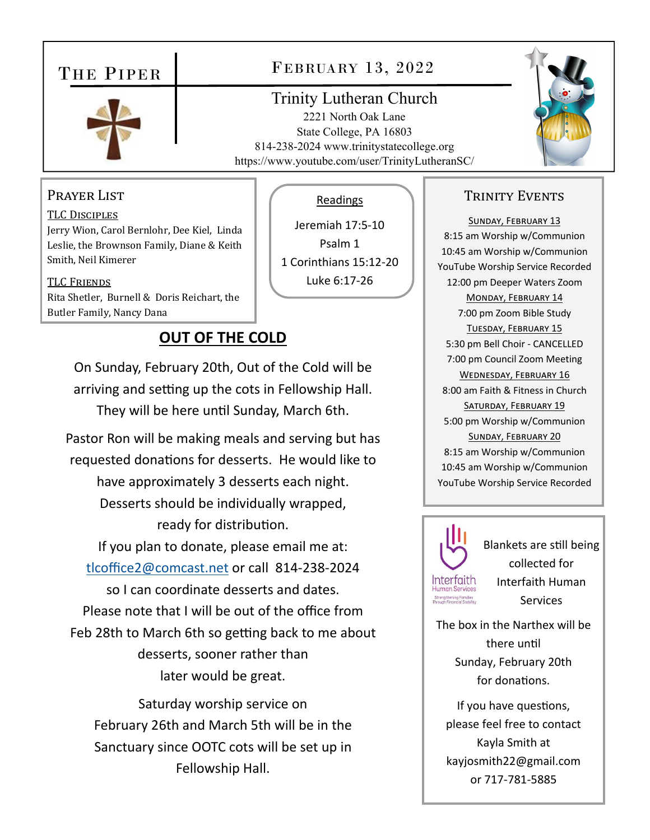# THE PIPER



## FEBRUARY 13, 2022

### Trinity Lutheran Church

2221 North Oak Lane State College, PA 16803 814-238-2024 www.trinitystatecollege.org https://www.youtube.com/user/TrinityLutheranSC/

Readings

Jeremiah 17:5‐10 Psalm 1 1 Corinthians 15:12‐20 Luke 6:17‐26



#### PRAYER LIST

TLC DISCIPLES Jerry Wion, Carol Bernlohr, Dee Kiel, Linda Leslie, the Brownson Family, Diane & Keith Smith, Neil Kimerer

TLC FRIENDS Rita Shetler, Burnell & Doris Reichart, the Butler Family, Nancy Dana

## **OUT OF THE COLD**

On Sunday, February 20th, Out of the Cold will be arriving and setting up the cots in Fellowship Hall. They will be here unƟl Sunday, March 6th.

Pastor Ron will be making meals and serving but has requested donations for desserts. He would like to have approximately 3 desserts each night. Desserts should be individually wrapped, ready for distribution. If you plan to donate, please email me at: tlcoffice2@comcast.net or call 814‐238‐2024 so I can coordinate desserts and dates. Please note that I will be out of the office from Feb 28th to March 6th so getting back to me about desserts, sooner rather than later would be great.

Saturday worship service on February 26th and March 5th will be in the Sanctuary since OOTC cots will be set up in Fellowship Hall.

#### TRINITY EVENTS

SUNDAY, FEBRUARY 13 8:15 am Worship w/Communion 10:45 am Worship w/Communion YouTube Worship Service Recorded 12:00 pm Deeper Waters Zoom MONDAY, FEBRUARY 14 7:00 pm Zoom Bible Study TUESDAY, FEBRUARY 15 5:30 pm Bell Choir ‐ CANCELLED 7:00 pm Council Zoom Meeting WEDNESDAY, FEBRUARY 16 8:00 am Faith & Fitness in Church SATURDAY, FEBRUARY 19 5:00 pm Worship w/Communion SUNDAY, FEBRUARY 20 8:15 am Worship w/Communion 10:45 am Worship w/Communion YouTube Worship Service Recorded



Blankets are sƟll being collected for Interfaith Human **Services** 

The box in the Narthex will be there until Sunday, February 20th for donations.

If you have questions, please feel free to contact Kayla Smith at kayjosmith22@gmail.com or 717‐781‐5885